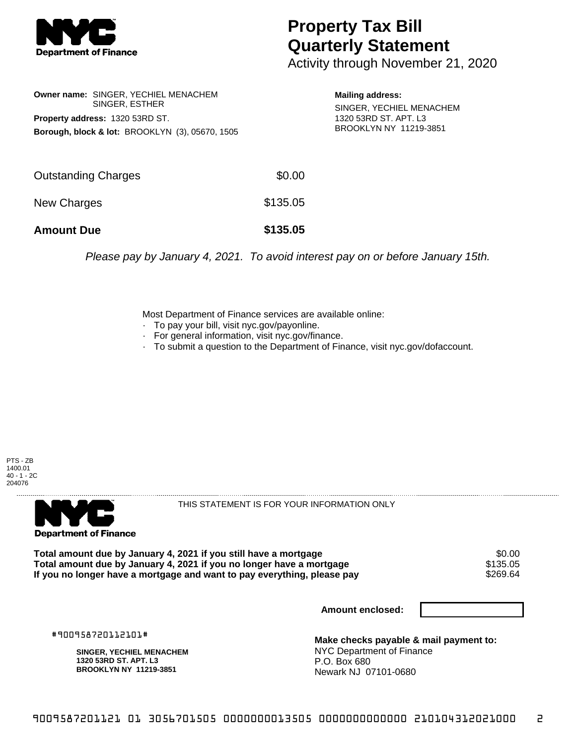

## **Property Tax Bill Quarterly Statement**

Activity through November 21, 2020

**Owner name:** SINGER, YECHIEL MENACHEM SINGER, ESTHER **Property address:** 1320 53RD ST. **Borough, block & lot:** BROOKLYN (3), 05670, 1505

**Mailing address:** SINGER, YECHIEL MENACHEM 1320 53RD ST. APT. L3 BROOKLYN NY 11219-3851

| <b>Amount Due</b>   | \$135.05 |
|---------------------|----------|
| New Charges         | \$135.05 |
| Outstanding Charges | \$0.00   |

Please pay by January 4, 2021. To avoid interest pay on or before January 15th.

Most Department of Finance services are available online:

- · To pay your bill, visit nyc.gov/payonline.
- For general information, visit nyc.gov/finance.
- · To submit a question to the Department of Finance, visit nyc.gov/dofaccount.

PTS - ZB 1400.01 40 - 1 - 2C 204076



THIS STATEMENT IS FOR YOUR INFORMATION ONLY

Total amount due by January 4, 2021 if you still have a mortgage  $$0.00$ <br>Total amount due by January 4, 2021 if you no longer have a mortgage  $$135.05$ **Total amount due by January 4, 2021 if you no longer have a mortgage \$135.05<br>If you no longer have a mortgage and want to pay everything, please pay \$269.64** If you no longer have a mortgage and want to pay everything, please pay

**Amount enclosed:**

#900958720112101#

**SINGER, YECHIEL MENACHEM 1320 53RD ST. APT. L3 BROOKLYN NY 11219-3851**

**Make checks payable & mail payment to:** NYC Department of Finance P.O. Box 680 Newark NJ 07101-0680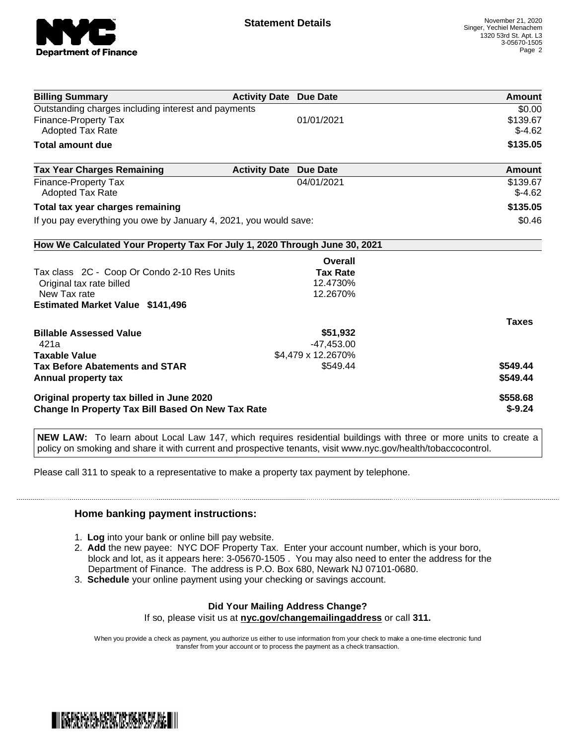

| <b>Billing Summary</b>                                                     | <b>Activity Date Due Date</b> |                    |              | <b>Amount</b> |
|----------------------------------------------------------------------------|-------------------------------|--------------------|--------------|---------------|
| Outstanding charges including interest and payments                        |                               |                    |              | \$0.00        |
| Finance-Property Tax                                                       |                               | 01/01/2021         |              | \$139.67      |
| Adopted Tax Rate                                                           |                               |                    |              | $$-4.62$      |
| <b>Total amount due</b>                                                    |                               |                    |              | \$135.05      |
| <b>Tax Year Charges Remaining</b>                                          | <b>Activity Date</b>          | <b>Due Date</b>    |              | Amount        |
| Finance-Property Tax                                                       |                               | 04/01/2021         |              | \$139.67      |
| <b>Adopted Tax Rate</b>                                                    |                               |                    |              | $$-4.62$      |
| Total tax year charges remaining                                           |                               |                    |              | \$135.05      |
| If you pay everything you owe by January 4, 2021, you would save:          |                               |                    |              | \$0.46        |
| How We Calculated Your Property Tax For July 1, 2020 Through June 30, 2021 |                               |                    |              |               |
|                                                                            |                               | Overall            |              |               |
| Tax class 2C - Coop Or Condo 2-10 Res Units                                |                               | <b>Tax Rate</b>    |              |               |
| Original tax rate billed                                                   |                               | 12.4730%           |              |               |
| New Tax rate                                                               |                               | 12.2670%           |              |               |
| <b>Estimated Market Value \$141,496</b>                                    |                               |                    |              |               |
|                                                                            |                               |                    | <b>Taxes</b> |               |
| <b>Billable Assessed Value</b>                                             |                               | \$51,932           |              |               |
| 421a                                                                       |                               | $-47,453.00$       |              |               |
| <b>Taxable Value</b>                                                       |                               | \$4,479 x 12.2670% |              |               |
| <b>Tax Before Abatements and STAR</b>                                      |                               | \$549.44           | \$549.44     |               |
| Annual property tax                                                        |                               |                    | \$549.44     |               |
| Original property tax billed in June 2020                                  |                               |                    | \$558.68     |               |
| <b>Change In Property Tax Bill Based On New Tax Rate</b>                   |                               |                    | $$-9.24$     |               |

**NEW LAW:** To learn about Local Law 147, which requires residential buildings with three or more units to create a policy on smoking and share it with current and prospective tenants, visit www.nyc.gov/health/tobaccocontrol.

Please call 311 to speak to a representative to make a property tax payment by telephone.

## **Home banking payment instructions:**

- 1. **Log** into your bank or online bill pay website.
- 2. **Add** the new payee: NYC DOF Property Tax. Enter your account number, which is your boro, block and lot, as it appears here: 3-05670-1505 . You may also need to enter the address for the Department of Finance. The address is P.O. Box 680, Newark NJ 07101-0680.
- 3. **Schedule** your online payment using your checking or savings account.

## **Did Your Mailing Address Change?**

If so, please visit us at **nyc.gov/changemailingaddress** or call **311.**

When you provide a check as payment, you authorize us either to use information from your check to make a one-time electronic fund transfer from your account or to process the payment as a check transaction.